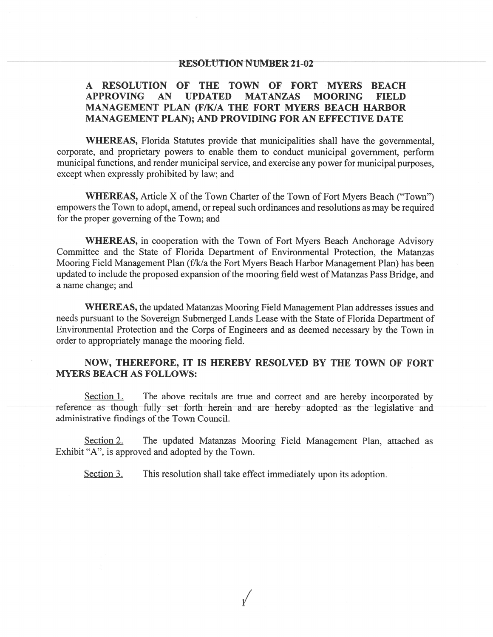#### **RESOLUTION NUMBER 21-02**

#### A RESOLUTION OF THE TOWN OF FORT MYERS BEACH **APPROVING**  $AN$ **UPDATED MATANZAS MOORING FIELD** MANAGEMENT PLAN (F/K/A THE FORT MYERS BEACH HARBOR MANAGEMENT PLAN); AND PROVIDING FOR AN EFFECTIVE DATE

WHEREAS, Florida Statutes provide that municipalities shall have the governmental, corporate, and proprietary powers to enable them to conduct municipal government, perform municipal functions, and render municipal service, and exercise any power for municipal purposes, except when expressly prohibited by law; and

**WHEREAS, Article X of the Town Charter of the Town of Fort Myers Beach ("Town")** empowers the Town to adopt, amend, or repeal such ordinances and resolutions as may be required for the proper governing of the Town; and

WHEREAS, in cooperation with the Town of Fort Myers Beach Anchorage Advisory Committee and the State of Florida Department of Environmental Protection, the Matanzas Mooring Field Management Plan (f/k/a the Fort Myers Beach Harbor Management Plan) has been updated to include the proposed expansion of the mooring field west of Matanzas Pass Bridge, and a name change; and

WHEREAS, the updated Matanzas Mooring Field Management Plan addresses issues and needs pursuant to the Sovereign Submerged Lands Lease with the State of Florida Department of Environmental Protection and the Corps of Engineers and as deemed necessary by the Town in order to appropriately manage the mooring field.

#### NOW, THEREFORE, IT IS HEREBY RESOLVED BY THE TOWN OF FORT **MYERS BEACH AS FOLLOWS:**

Section 1. The above recitals are true and correct and are hereby incorporated by reference as though fully set forth herein and are hereby adopted as the legislative and administrative findings of the Town Council.

Section 2. The updated Matanzas Mooring Field Management Plan, attached as Exhibit "A", is approved and adopted by the Town.

Section 3. This resolution shall take effect immediately upon its adoption.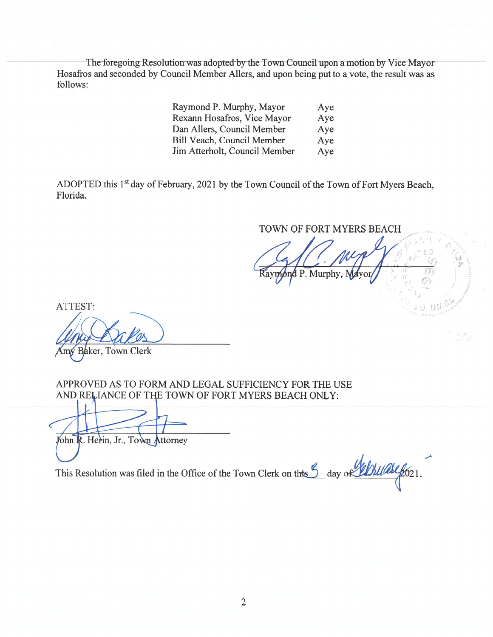The foregoing Resolution was adopted by the Town Council upon a motion by Vice Mayor Hosafros and seconded by Council Member Allers, and upon being put to a vote, the result was as follows:

| Raymond P. Murphy, Mayor          | Aye |
|-----------------------------------|-----|
| Rexann Hosafros, Vice Mayor       | Aye |
| Dan Allers, Council Member        | Aye |
| <b>Bill Veach, Council Member</b> | Aye |
| Jim Atterholt, Council Member     | Aye |

ADOPTED this 1<sup>st</sup> day of February, 2021 by the Town Council of the Town of Fort Myers Beach, Florida.

TOWN OF FORT MYERS BEACH

Raymond P. Murphy, Mayor

ATTEST: W Baker, Town Clerk

APPROVED AS TO FORM AND LEGAL SUFFICIENCY FOR THE USE AND RELIANCE OF THE TOWN OF FORT MYERS BEACH ONLY:

John R. Herin, Jr., Town Attorney

This Resolution was filed in the Office of the Town Clerk on this 9 day of Albumale 621.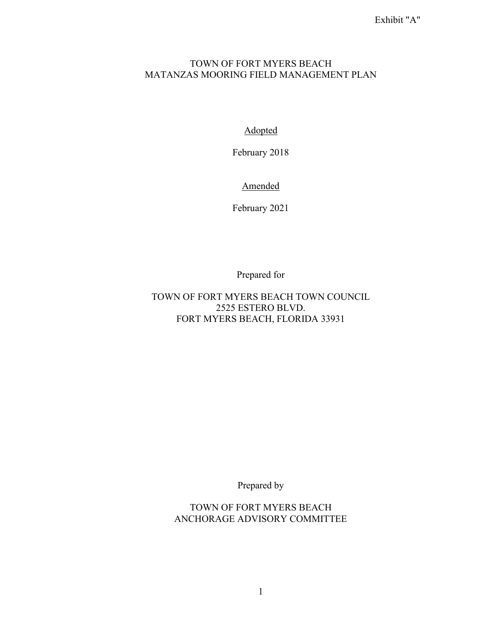#### TOWN OF FORT MYERS BEACH MATANZAS MOORING FIELD MANAGEMENT PLAN

Adopted

February 2018

Amended

February 2021

Prepared for

TOWN OF FORT MYERS BEACH TOWN COUNCIL 2525 ESTERO BLVD. FORT MYERS BEACH, FLORIDA 33931

Prepared by

TOWN OF FORT MYERS BEACH ANCHORAGE ADVISORY COMMITTEE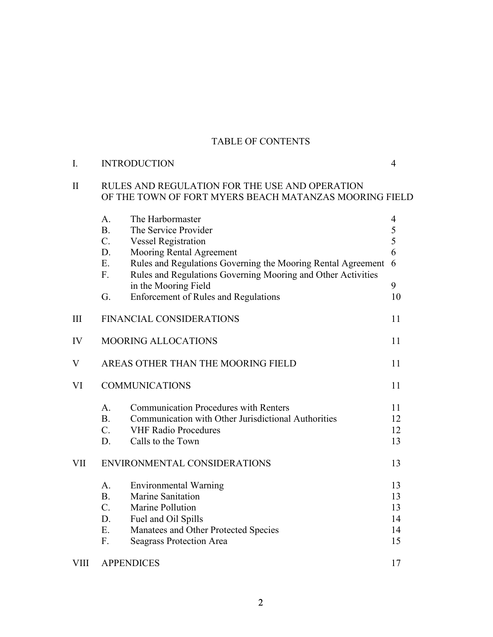# TABLE OF CONTENTS

| I.           | <b>INTRODUCTION</b>                                                                                                                                                                                                         | $\overline{4}$                   |  |
|--------------|-----------------------------------------------------------------------------------------------------------------------------------------------------------------------------------------------------------------------------|----------------------------------|--|
| $\mathbf{I}$ | RULES AND REGULATION FOR THE USE AND OPERATION<br>OF THE TOWN OF FORT MYERS BEACH MATANZAS MOORING FIELD                                                                                                                    |                                  |  |
|              | The Harbormaster<br>A.<br><b>B.</b><br>The Service Provider<br>C.<br><b>Vessel Registration</b>                                                                                                                             | 4<br>5<br>5                      |  |
|              | D.<br>Mooring Rental Agreement<br>E.<br>Rules and Regulations Governing the Mooring Rental Agreement<br>Rules and Regulations Governing Mooring and Other Activities<br>F.                                                  | 6<br>6                           |  |
|              | in the Mooring Field<br>G.<br><b>Enforcement of Rules and Regulations</b>                                                                                                                                                   | 9<br>10                          |  |
| III          | FINANCIAL CONSIDERATIONS                                                                                                                                                                                                    | 11                               |  |
| IV           | <b>MOORING ALLOCATIONS</b>                                                                                                                                                                                                  | 11                               |  |
| V            | AREAS OTHER THAN THE MOORING FIELD                                                                                                                                                                                          | 11                               |  |
| VI           | <b>COMMUNICATIONS</b>                                                                                                                                                                                                       | 11                               |  |
|              | <b>Communication Procedures with Renters</b><br>A.<br><b>B.</b><br>Communication with Other Jurisdictional Authorities<br>$C_{\cdot}$<br><b>VHF Radio Procedures</b><br>D.<br>Calls to the Town                             | 11<br>12<br>12<br>13             |  |
| <b>VII</b>   | ENVIRONMENTAL CONSIDERATIONS                                                                                                                                                                                                |                                  |  |
|              | A.<br><b>Environmental Warning</b><br><b>B.</b><br>Marine Sanitation<br>$C_{\cdot}$<br>Marine Pollution<br>D.<br>Fuel and Oil Spills<br>Ε.<br>Manatees and Other Protected Species<br>F.<br><b>Seagrass Protection Area</b> | 13<br>13<br>13<br>14<br>14<br>15 |  |
| <b>VIII</b>  | <b>APPENDICES</b>                                                                                                                                                                                                           | 17                               |  |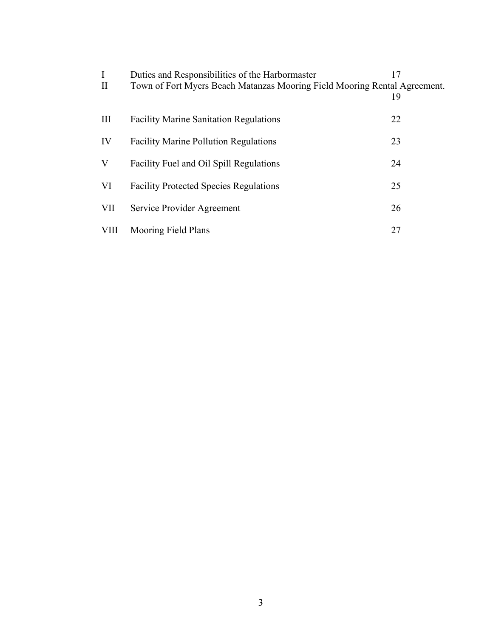| I<br>$\mathbf{I}$ | Duties and Responsibilities of the Harbormaster<br>Town of Fort Myers Beach Matanzas Mooring Field Mooring Rental Agreement. | 17<br>19 |
|-------------------|------------------------------------------------------------------------------------------------------------------------------|----------|
| III               | <b>Facility Marine Sanitation Regulations</b>                                                                                | 22       |
| IV                | <b>Facility Marine Pollution Regulations</b>                                                                                 | 23       |
| V                 | Facility Fuel and Oil Spill Regulations                                                                                      | 24       |
| VI                | <b>Facility Protected Species Regulations</b>                                                                                | 25       |
| VII               | Service Provider Agreement                                                                                                   | 26       |
| <b>VIII</b>       | Mooring Field Plans                                                                                                          | 27       |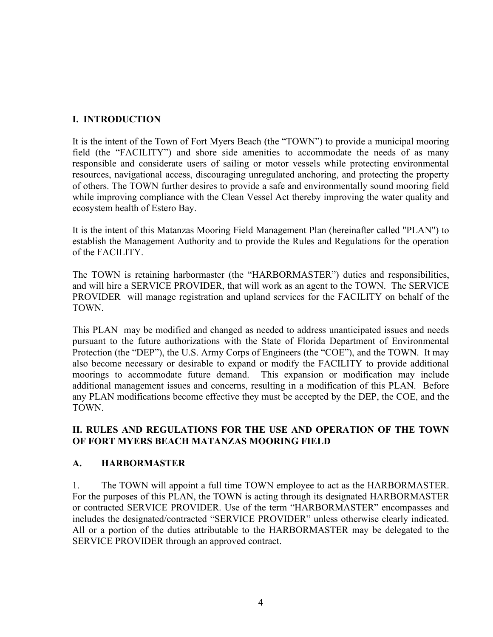# **I. INTRODUCTION**

It is the intent of the Town of Fort Myers Beach (the "TOWN") to provide a municipal mooring field (the "FACILITY") and shore side amenities to accommodate the needs of as many responsible and considerate users of sailing or motor vessels while protecting environmental resources, navigational access, discouraging unregulated anchoring, and protecting the property of others. The TOWN further desires to provide a safe and environmentally sound mooring field while improving compliance with the Clean Vessel Act thereby improving the water quality and ecosystem health of Estero Bay.

It is the intent of this Matanzas Mooring Field Management Plan (hereinafter called "PLAN") to establish the Management Authority and to provide the Rules and Regulations for the operation of the FACILITY.

The TOWN is retaining harbormaster (the "HARBORMASTER") duties and responsibilities, and will hire a SERVICE PROVIDER, that will work as an agent to the TOWN. The SERVICE PROVIDER will manage registration and upland services for the FACILITY on behalf of the TOWN.

This PLAN may be modified and changed as needed to address unanticipated issues and needs pursuant to the future authorizations with the State of Florida Department of Environmental Protection (the "DEP"), the U.S. Army Corps of Engineers (the "COE"), and the TOWN. It may also become necessary or desirable to expand or modify the FACILITY to provide additional moorings to accommodate future demand. This expansion or modification may include additional management issues and concerns, resulting in a modification of this PLAN. Before any PLAN modifications become effective they must be accepted by the DEP, the COE, and the TOWN.

## **II. RULES AND REGULATIONS FOR THE USE AND OPERATION OF THE TOWN OF FORT MYERS BEACH MATANZAS MOORING FIELD**

## **A. HARBORMASTER**

1. The TOWN will appoint a full time TOWN employee to act as the HARBORMASTER. For the purposes of this PLAN, the TOWN is acting through its designated HARBORMASTER or contracted SERVICE PROVIDER. Use of the term "HARBORMASTER" encompasses and includes the designated/contracted "SERVICE PROVIDER" unless otherwise clearly indicated. All or a portion of the duties attributable to the HARBORMASTER may be delegated to the SERVICE PROVIDER through an approved contract.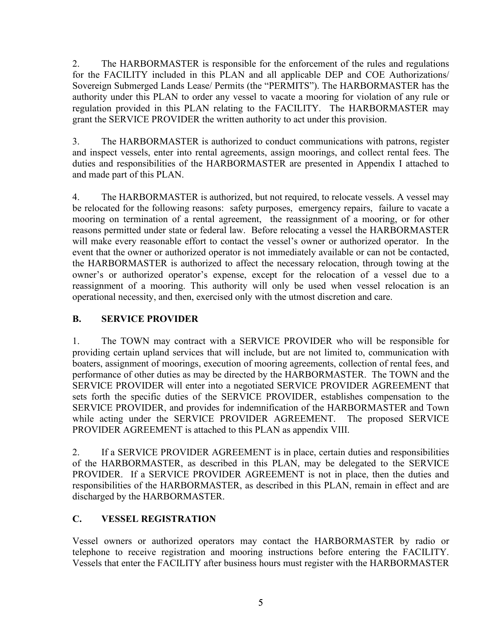2. The HARBORMASTER is responsible for the enforcement of the rules and regulations for the FACILITY included in this PLAN and all applicable DEP and COE Authorizations/ Sovereign Submerged Lands Lease/ Permits (the "PERMITS"). The HARBORMASTER has the authority under this PLAN to order any vessel to vacate a mooring for violation of any rule or regulation provided in this PLAN relating to the FACILITY. The HARBORMASTER may grant the SERVICE PROVIDER the written authority to act under this provision.

3. The HARBORMASTER is authorized to conduct communications with patrons, register and inspect vessels, enter into rental agreements, assign moorings, and collect rental fees. The duties and responsibilities of the HARBORMASTER are presented in Appendix I attached to and made part of this PLAN.

4. The HARBORMASTER is authorized, but not required, to relocate vessels. A vessel may be relocated for the following reasons: safety purposes, emergency repairs, failure to vacate a mooring on termination of a rental agreement, the reassignment of a mooring, or for other reasons permitted under state or federal law. Before relocating a vessel the HARBORMASTER will make every reasonable effort to contact the vessel's owner or authorized operator. In the event that the owner or authorized operator is not immediately available or can not be contacted, the HARBORMASTER is authorized to affect the necessary relocation, through towing at the owner's or authorized operator's expense, except for the relocation of a vessel due to a reassignment of a mooring. This authority will only be used when vessel relocation is an operational necessity, and then, exercised only with the utmost discretion and care.

# **B. SERVICE PROVIDER**

1. The TOWN may contract with a SERVICE PROVIDER who will be responsible for providing certain upland services that will include, but are not limited to, communication with boaters, assignment of moorings, execution of mooring agreements, collection of rental fees, and performance of other duties as may be directed by the HARBORMASTER. The TOWN and the SERVICE PROVIDER will enter into a negotiated SERVICE PROVIDER AGREEMENT that sets forth the specific duties of the SERVICE PROVIDER, establishes compensation to the SERVICE PROVIDER, and provides for indemnification of the HARBORMASTER and Town while acting under the SERVICE PROVIDER AGREEMENT. The proposed SERVICE PROVIDER AGREEMENT is attached to this PLAN as appendix VIII.

2. If a SERVICE PROVIDER AGREEMENT is in place, certain duties and responsibilities of the HARBORMASTER, as described in this PLAN, may be delegated to the SERVICE PROVIDER. If a SERVICE PROVIDER AGREEMENT is not in place, then the duties and responsibilities of the HARBORMASTER, as described in this PLAN, remain in effect and are discharged by the HARBORMASTER.

## **C. VESSEL REGISTRATION**

Vessel owners or authorized operators may contact the HARBORMASTER by radio or telephone to receive registration and mooring instructions before entering the FACILITY. Vessels that enter the FACILITY after business hours must register with the HARBORMASTER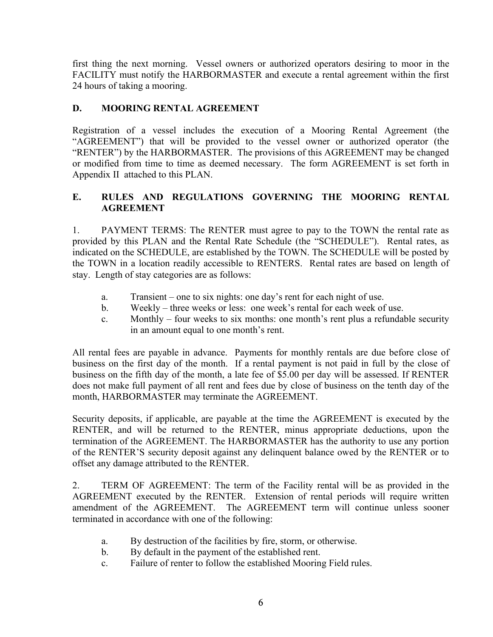first thing the next morning. Vessel owners or authorized operators desiring to moor in the FACILITY must notify the HARBORMASTER and execute a rental agreement within the first 24 hours of taking a mooring.

## **D. MOORING RENTAL AGREEMENT**

Registration of a vessel includes the execution of a Mooring Rental Agreement (the "AGREEMENT") that will be provided to the vessel owner or authorized operator (the "RENTER") by the HARBORMASTER. The provisions of this AGREEMENT may be changed or modified from time to time as deemed necessary. The form AGREEMENT is set forth in Appendix II attached to this PLAN.

# **E. RULES AND REGULATIONS GOVERNING THE MOORING RENTAL AGREEMENT**

1. PAYMENT TERMS: The RENTER must agree to pay to the TOWN the rental rate as provided by this PLAN and the Rental Rate Schedule (the "SCHEDULE"). Rental rates, as indicated on the SCHEDULE, are established by the TOWN. The SCHEDULE will be posted by the TOWN in a location readily accessible to RENTERS. Rental rates are based on length of stay. Length of stay categories are as follows:

- a. Transient one to six nights: one day's rent for each night of use.
- b. Weekly three weeks or less: one week's rental for each week of use.
- c. Monthly four weeks to six months: one month's rent plus a refundable security in an amount equal to one month's rent.

All rental fees are payable in advance. Payments for monthly rentals are due before close of business on the first day of the month. If a rental payment is not paid in full by the close of business on the fifth day of the month, a late fee of \$5.00 per day will be assessed. If RENTER does not make full payment of all rent and fees due by close of business on the tenth day of the month, HARBORMASTER may terminate the AGREEMENT.

Security deposits, if applicable, are payable at the time the AGREEMENT is executed by the RENTER, and will be returned to the RENTER, minus appropriate deductions, upon the termination of the AGREEMENT. The HARBORMASTER has the authority to use any portion of the RENTER'S security deposit against any delinquent balance owed by the RENTER or to offset any damage attributed to the RENTER.

2. TERM OF AGREEMENT: The term of the Facility rental will be as provided in the AGREEMENT executed by the RENTER. Extension of rental periods will require written amendment of the AGREEMENT. The AGREEMENT term will continue unless sooner terminated in accordance with one of the following:

- a. By destruction of the facilities by fire, storm, or otherwise.
- b. By default in the payment of the established rent.
- c. Failure of renter to follow the established Mooring Field rules.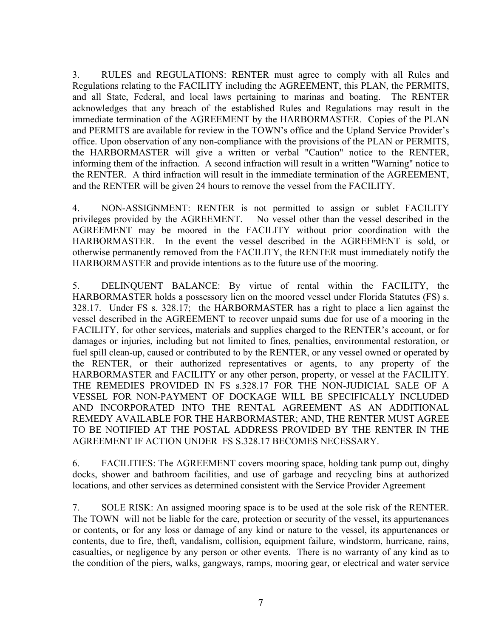3. RULES and REGULATIONS: RENTER must agree to comply with all Rules and Regulations relating to the FACILITY including the AGREEMENT, this PLAN, the PERMITS, and all State, Federal, and local laws pertaining to marinas and boating. The RENTER acknowledges that any breach of the established Rules and Regulations may result in the immediate termination of the AGREEMENT by the HARBORMASTER. Copies of the PLAN and PERMITS are available for review in the TOWN's office and the Upland Service Provider's office. Upon observation of any non-compliance with the provisions of the PLAN or PERMITS, the HARBORMASTER will give a written or verbal "Caution" notice to the RENTER, informing them of the infraction. A second infraction will result in a written "Warning" notice to the RENTER. A third infraction will result in the immediate termination of the AGREEMENT, and the RENTER will be given 24 hours to remove the vessel from the FACILITY.

4. NON-ASSIGNMENT: RENTER is not permitted to assign or sublet FACILITY privileges provided by the AGREEMENT. No vessel other than the vessel described in the AGREEMENT may be moored in the FACILITY without prior coordination with the HARBORMASTER. In the event the vessel described in the AGREEMENT is sold, or otherwise permanently removed from the FACILITY, the RENTER must immediately notify the HARBORMASTER and provide intentions as to the future use of the mooring.

5. DELINQUENT BALANCE: By virtue of rental within the FACILITY, the HARBORMASTER holds a possessory lien on the moored vessel under Florida Statutes (FS) s. 328.17. Under FS s. 328.17; the HARBORMASTER has a right to place a lien against the vessel described in the AGREEMENT to recover unpaid sums due for use of a mooring in the FACILITY, for other services, materials and supplies charged to the RENTER's account, or for damages or injuries, including but not limited to fines, penalties, environmental restoration, or fuel spill clean-up, caused or contributed to by the RENTER, or any vessel owned or operated by the RENTER, or their authorized representatives or agents, to any property of the HARBORMASTER and FACILITY or any other person, property, or vessel at the FACILITY. THE REMEDIES PROVIDED IN FS s.328.17 FOR THE NON-JUDICIAL SALE OF A VESSEL FOR NON-PAYMENT OF DOCKAGE WILL BE SPECIFICALLY INCLUDED AND INCORPORATED INTO THE RENTAL AGREEMENT AS AN ADDITIONAL REMEDY AVAILABLE FOR THE HARBORMASTER; AND, THE RENTER MUST AGREE TO BE NOTIFIED AT THE POSTAL ADDRESS PROVIDED BY THE RENTER IN THE AGREEMENT IF ACTION UNDER FS S.328.17 BECOMES NECESSARY.

6. FACILITIES: The AGREEMENT covers mooring space, holding tank pump out, dinghy docks, shower and bathroom facilities, and use of garbage and recycling bins at authorized locations, and other services as determined consistent with the Service Provider Agreement

7. SOLE RISK: An assigned mooring space is to be used at the sole risk of the RENTER. The TOWN will not be liable for the care, protection or security of the vessel, its appurtenances or contents, or for any loss or damage of any kind or nature to the vessel, its appurtenances or contents, due to fire, theft, vandalism, collision, equipment failure, windstorm, hurricane, rains, casualties, or negligence by any person or other events. There is no warranty of any kind as to the condition of the piers, walks, gangways, ramps, mooring gear, or electrical and water service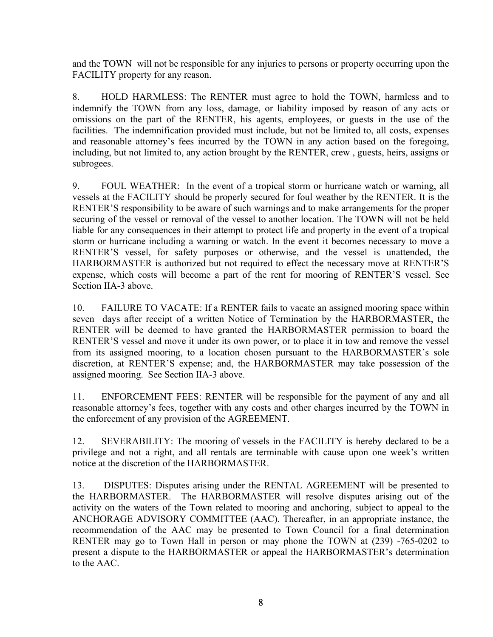and the TOWN will not be responsible for any injuries to persons or property occurring upon the FACILITY property for any reason.

8. HOLD HARMLESS: The RENTER must agree to hold the TOWN, harmless and to indemnify the TOWN from any loss, damage, or liability imposed by reason of any acts or omissions on the part of the RENTER, his agents, employees, or guests in the use of the facilities. The indemnification provided must include, but not be limited to, all costs, expenses and reasonable attorney's fees incurred by the TOWN in any action based on the foregoing, including, but not limited to, any action brought by the RENTER, crew , guests, heirs, assigns or subrogees.

9. FOUL WEATHER: In the event of a tropical storm or hurricane watch or warning, all vessels at the FACILITY should be properly secured for foul weather by the RENTER. It is the RENTER'S responsibility to be aware of such warnings and to make arrangements for the proper securing of the vessel or removal of the vessel to another location. The TOWN will not be held liable for any consequences in their attempt to protect life and property in the event of a tropical storm or hurricane including a warning or watch. In the event it becomes necessary to move a RENTER'S vessel, for safety purposes or otherwise, and the vessel is unattended, the HARBORMASTER is authorized but not required to effect the necessary move at RENTER'S expense, which costs will become a part of the rent for mooring of RENTER'S vessel. See Section IIA-3 above.

10. FAILURE TO VACATE: If a RENTER fails to vacate an assigned mooring space within seven days after receipt of a written Notice of Termination by the HARBORMASTER, the RENTER will be deemed to have granted the HARBORMASTER permission to board the RENTER'S vessel and move it under its own power, or to place it in tow and remove the vessel from its assigned mooring, to a location chosen pursuant to the HARBORMASTER's sole discretion, at RENTER'S expense; and, the HARBORMASTER may take possession of the assigned mooring. See Section IIA-3 above.

11. ENFORCEMENT FEES: RENTER will be responsible for the payment of any and all reasonable attorney's fees, together with any costs and other charges incurred by the TOWN in the enforcement of any provision of the AGREEMENT.

12. SEVERABILITY: The mooring of vessels in the FACILITY is hereby declared to be a privilege and not a right, and all rentals are terminable with cause upon one week's written notice at the discretion of the HARBORMASTER.

13. DISPUTES: Disputes arising under the RENTAL AGREEMENT will be presented to the HARBORMASTER. The HARBORMASTER will resolve disputes arising out of the activity on the waters of the Town related to mooring and anchoring, subject to appeal to the ANCHORAGE ADVISORY COMMITTEE (AAC). Thereafter, in an appropriate instance, the recommendation of the AAC may be presented to Town Council for a final determination RENTER may go to Town Hall in person or may phone the TOWN at (239) -765-0202 to present a dispute to the HARBORMASTER or appeal the HARBORMASTER's determination to the AAC.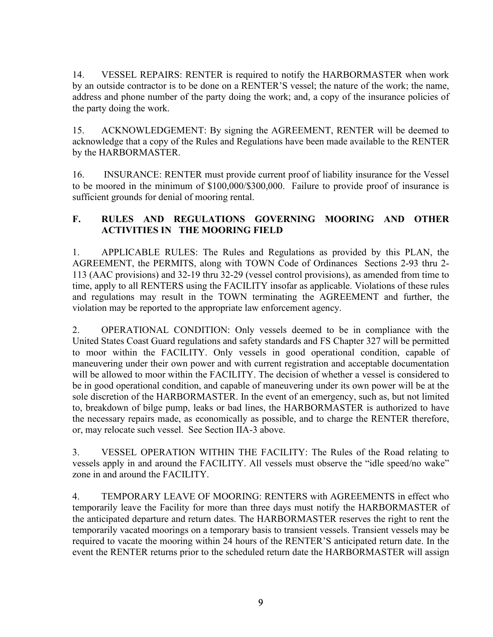14. VESSEL REPAIRS: RENTER is required to notify the HARBORMASTER when work by an outside contractor is to be done on a RENTER'S vessel; the nature of the work; the name, address and phone number of the party doing the work; and, a copy of the insurance policies of the party doing the work.

15. ACKNOWLEDGEMENT: By signing the AGREEMENT, RENTER will be deemed to acknowledge that a copy of the Rules and Regulations have been made available to the RENTER by the HARBORMASTER.

16. INSURANCE: RENTER must provide current proof of liability insurance for the Vessel to be moored in the minimum of \$100,000/\$300,000. Failure to provide proof of insurance is sufficient grounds for denial of mooring rental.

# **F. RULES AND REGULATIONS GOVERNING MOORING AND OTHER ACTIVITIES IN THE MOORING FIELD**

1. APPLICABLE RULES: The Rules and Regulations as provided by this PLAN, the AGREEMENT, the PERMITS, along with TOWN Code of Ordinances Sections 2-93 thru 2- 113 (AAC provisions) and 32-19 thru 32-29 (vessel control provisions), as amended from time to time, apply to all RENTERS using the FACILITY insofar as applicable. Violations of these rules and regulations may result in the TOWN terminating the AGREEMENT and further, the violation may be reported to the appropriate law enforcement agency.

2. OPERATIONAL CONDITION: Only vessels deemed to be in compliance with the United States Coast Guard regulations and safety standards and FS Chapter 327 will be permitted to moor within the FACILITY. Only vessels in good operational condition, capable of maneuvering under their own power and with current registration and acceptable documentation will be allowed to moor within the FACILITY. The decision of whether a vessel is considered to be in good operational condition, and capable of maneuvering under its own power will be at the sole discretion of the HARBORMASTER. In the event of an emergency, such as, but not limited to, breakdown of bilge pump, leaks or bad lines, the HARBORMASTER is authorized to have the necessary repairs made, as economically as possible, and to charge the RENTER therefore, or, may relocate such vessel. See Section IIA-3 above.

3. VESSEL OPERATION WITHIN THE FACILITY: The Rules of the Road relating to vessels apply in and around the FACILITY. All vessels must observe the "idle speed/no wake" zone in and around the FACILITY.

4. TEMPORARY LEAVE OF MOORING: RENTERS with AGREEMENTS in effect who temporarily leave the Facility for more than three days must notify the HARBORMASTER of the anticipated departure and return dates. The HARBORMASTER reserves the right to rent the temporarily vacated moorings on a temporary basis to transient vessels. Transient vessels may be required to vacate the mooring within 24 hours of the RENTER'S anticipated return date. In the event the RENTER returns prior to the scheduled return date the HARBORMASTER will assign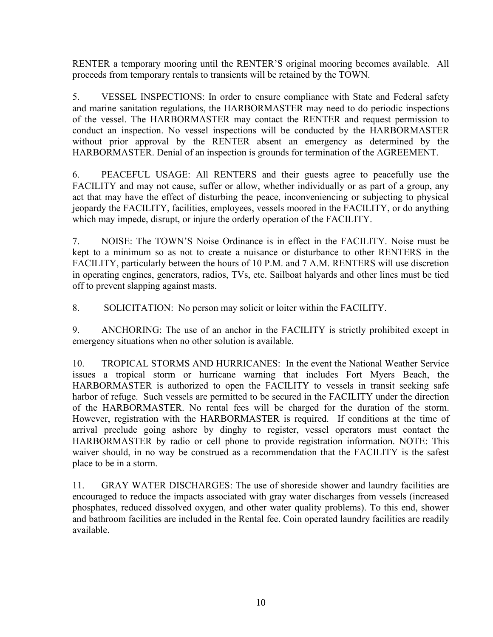RENTER a temporary mooring until the RENTER'S original mooring becomes available. All proceeds from temporary rentals to transients will be retained by the TOWN.

5. VESSEL INSPECTIONS: In order to ensure compliance with State and Federal safety and marine sanitation regulations, the HARBORMASTER may need to do periodic inspections of the vessel. The HARBORMASTER may contact the RENTER and request permission to conduct an inspection. No vessel inspections will be conducted by the HARBORMASTER without prior approval by the RENTER absent an emergency as determined by the HARBORMASTER. Denial of an inspection is grounds for termination of the AGREEMENT.

6. PEACEFUL USAGE: All RENTERS and their guests agree to peacefully use the FACILITY and may not cause, suffer or allow, whether individually or as part of a group, any act that may have the effect of disturbing the peace, inconveniencing or subjecting to physical jeopardy the FACILITY, facilities, employees, vessels moored in the FACILITY, or do anything which may impede, disrupt, or injure the orderly operation of the FACILITY.

7. NOISE: The TOWN'S Noise Ordinance is in effect in the FACILITY. Noise must be kept to a minimum so as not to create a nuisance or disturbance to other RENTERS in the FACILITY, particularly between the hours of 10 P.M. and 7 A.M. RENTERS will use discretion in operating engines, generators, radios, TVs, etc. Sailboat halyards and other lines must be tied off to prevent slapping against masts.

8. SOLICITATION: No person may solicit or loiter within the FACILITY.

9. ANCHORING: The use of an anchor in the FACILITY is strictly prohibited except in emergency situations when no other solution is available.

10. TROPICAL STORMS AND HURRICANES: In the event the National Weather Service issues a tropical storm or hurricane warning that includes Fort Myers Beach, the HARBORMASTER is authorized to open the FACILITY to vessels in transit seeking safe harbor of refuge. Such vessels are permitted to be secured in the FACILITY under the direction of the HARBORMASTER. No rental fees will be charged for the duration of the storm. However, registration with the HARBORMASTER is required. If conditions at the time of arrival preclude going ashore by dinghy to register, vessel operators must contact the HARBORMASTER by radio or cell phone to provide registration information. NOTE: This waiver should, in no way be construed as a recommendation that the FACILITY is the safest place to be in a storm.

11. GRAY WATER DISCHARGES: The use of shoreside shower and laundry facilities are encouraged to reduce the impacts associated with gray water discharges from vessels (increased phosphates, reduced dissolved oxygen, and other water quality problems). To this end, shower and bathroom facilities are included in the Rental fee. Coin operated laundry facilities are readily available.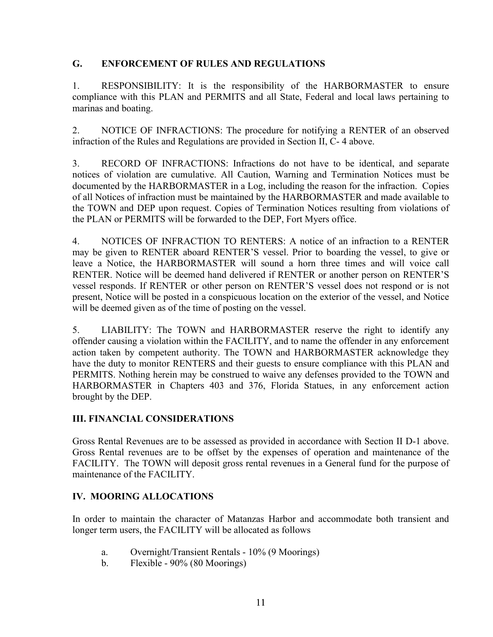## **G. ENFORCEMENT OF RULES AND REGULATIONS**

1. RESPONSIBILITY: It is the responsibility of the HARBORMASTER to ensure compliance with this PLAN and PERMITS and all State, Federal and local laws pertaining to marinas and boating.

2. NOTICE OF INFRACTIONS: The procedure for notifying a RENTER of an observed infraction of the Rules and Regulations are provided in Section II, C- 4 above.

3. RECORD OF INFRACTIONS: Infractions do not have to be identical, and separate notices of violation are cumulative. All Caution, Warning and Termination Notices must be documented by the HARBORMASTER in a Log, including the reason for the infraction. Copies of all Notices of infraction must be maintained by the HARBORMASTER and made available to the TOWN and DEP upon request. Copies of Termination Notices resulting from violations of the PLAN or PERMITS will be forwarded to the DEP, Fort Myers office.

4. NOTICES OF INFRACTION TO RENTERS: A notice of an infraction to a RENTER may be given to RENTER aboard RENTER'S vessel. Prior to boarding the vessel, to give or leave a Notice, the HARBORMASTER will sound a horn three times and will voice call RENTER. Notice will be deemed hand delivered if RENTER or another person on RENTER'S vessel responds. If RENTER or other person on RENTER'S vessel does not respond or is not present, Notice will be posted in a conspicuous location on the exterior of the vessel, and Notice will be deemed given as of the time of posting on the vessel.

5. LIABILITY: The TOWN and HARBORMASTER reserve the right to identify any offender causing a violation within the FACILITY, and to name the offender in any enforcement action taken by competent authority. The TOWN and HARBORMASTER acknowledge they have the duty to monitor RENTERS and their guests to ensure compliance with this PLAN and PERMITS. Nothing herein may be construed to waive any defenses provided to the TOWN and HARBORMASTER in Chapters 403 and 376, Florida Statues, in any enforcement action brought by the DEP.

## **III. FINANCIAL CONSIDERATIONS**

Gross Rental Revenues are to be assessed as provided in accordance with Section II D-1 above. Gross Rental revenues are to be offset by the expenses of operation and maintenance of the FACILITY. The TOWN will deposit gross rental revenues in a General fund for the purpose of maintenance of the FACILITY.

# **IV. MOORING ALLOCATIONS**

In order to maintain the character of Matanzas Harbor and accommodate both transient and longer term users, the FACILITY will be allocated as follows

- a. Overnight/Transient Rentals 10% (9 Moorings)
- b. Flexible 90% (80 Moorings)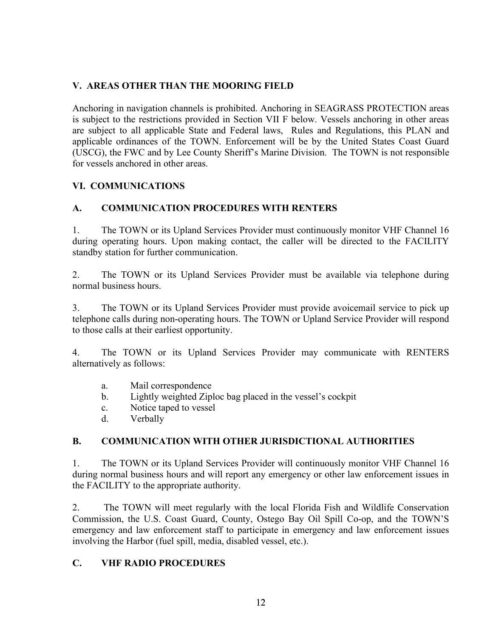# **V. AREAS OTHER THAN THE MOORING FIELD**

Anchoring in navigation channels is prohibited. Anchoring in SEAGRASS PROTECTION areas is subject to the restrictions provided in Section VII F below. Vessels anchoring in other areas are subject to all applicable State and Federal laws, Rules and Regulations, this PLAN and applicable ordinances of the TOWN. Enforcement will be by the United States Coast Guard (USCG), the FWC and by Lee County Sheriff's Marine Division. The TOWN is not responsible for vessels anchored in other areas.

## **VI. COMMUNICATIONS**

## **A. COMMUNICATION PROCEDURES WITH RENTERS**

1. The TOWN or its Upland Services Provider must continuously monitor VHF Channel 16 during operating hours. Upon making contact, the caller will be directed to the FACILITY standby station for further communication.

2. The TOWN or its Upland Services Provider must be available via telephone during normal business hours.

3. The TOWN or its Upland Services Provider must provide avoicemail service to pick up telephone calls during non-operating hours. The TOWN or Upland Service Provider will respond to those calls at their earliest opportunity.

4. The TOWN or its Upland Services Provider may communicate with RENTERS alternatively as follows:

- a. Mail correspondence
- b. Lightly weighted Ziploc bag placed in the vessel's cockpit
- c. Notice taped to vessel
- d. Verbally

## **B. COMMUNICATION WITH OTHER JURISDICTIONAL AUTHORITIES**

1. The TOWN or its Upland Services Provider will continuously monitor VHF Channel 16 during normal business hours and will report any emergency or other law enforcement issues in the FACILITY to the appropriate authority.

2. The TOWN will meet regularly with the local Florida Fish and Wildlife Conservation Commission, the U.S. Coast Guard, County, Ostego Bay Oil Spill Co-op, and the TOWN'S emergency and law enforcement staff to participate in emergency and law enforcement issues involving the Harbor (fuel spill, media, disabled vessel, etc.).

## **C. VHF RADIO PROCEDURES**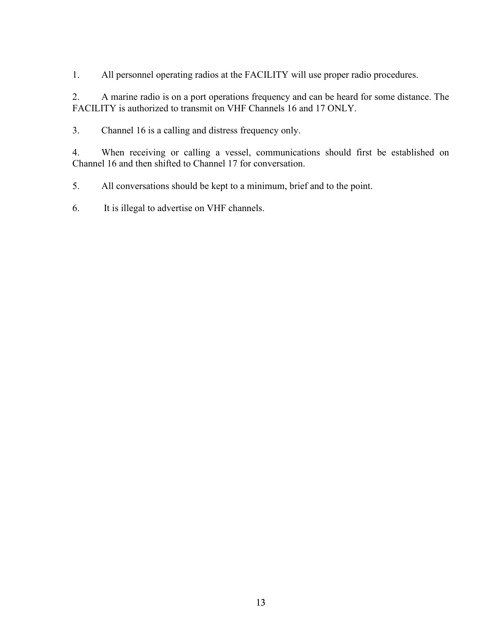1. All personnel operating radios at the FACILITY will use proper radio procedures.

2. A marine radio is on a port operations frequency and can be heard for some distance. The FACILITY is authorized to transmit on VHF Channels 16 and 17 ONLY.

3. Channel 16 is a calling and distress frequency only.

4. When receiving or calling a vessel, communications should first be established on Channel 16 and then shifted to Channel 17 for conversation.

5. All conversations should be kept to a minimum, brief and to the point.

6. It is illegal to advertise on VHF channels.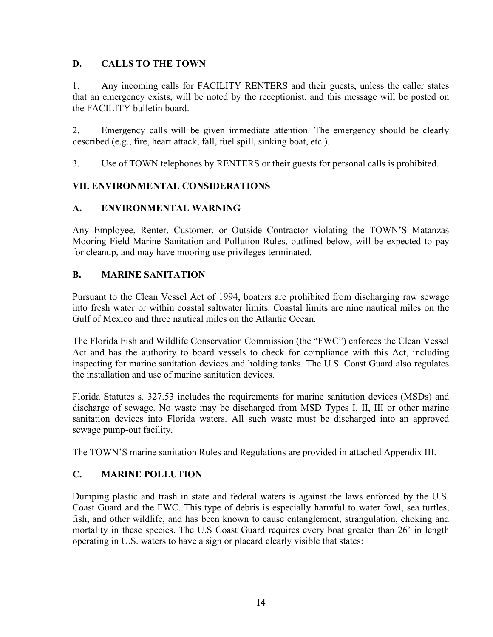## **D. CALLS TO THE TOWN**

1. Any incoming calls for FACILITY RENTERS and their guests, unless the caller states that an emergency exists, will be noted by the receptionist, and this message will be posted on the FACILITY bulletin board.

2. Emergency calls will be given immediate attention. The emergency should be clearly described (e.g., fire, heart attack, fall, fuel spill, sinking boat, etc.).

3. Use of TOWN telephones by RENTERS or their guests for personal calls is prohibited.

# **VII. ENVIRONMENTAL CONSIDERATIONS**

# **A. ENVIRONMENTAL WARNING**

Any Employee, Renter, Customer, or Outside Contractor violating the TOWN'S Matanzas Mooring Field Marine Sanitation and Pollution Rules, outlined below, will be expected to pay for cleanup, and may have mooring use privileges terminated.

# **B. MARINE SANITATION**

Pursuant to the Clean Vessel Act of 1994, boaters are prohibited from discharging raw sewage into fresh water or within coastal saltwater limits. Coastal limits are nine nautical miles on the Gulf of Mexico and three nautical miles on the Atlantic Ocean.

The Florida Fish and Wildlife Conservation Commission (the "FWC") enforces the Clean Vessel Act and has the authority to board vessels to check for compliance with this Act, including inspecting for marine sanitation devices and holding tanks. The U.S. Coast Guard also regulates the installation and use of marine sanitation devices.

Florida Statutes s. 327.53 includes the requirements for marine sanitation devices (MSDs) and discharge of sewage. No waste may be discharged from MSD Types I, II, III or other marine sanitation devices into Florida waters. All such waste must be discharged into an approved sewage pump-out facility.

The TOWN'S marine sanitation Rules and Regulations are provided in attached Appendix III.

## **C. MARINE POLLUTION**

Dumping plastic and trash in state and federal waters is against the laws enforced by the U.S. Coast Guard and the FWC. This type of debris is especially harmful to water fowl, sea turtles, fish, and other wildlife, and has been known to cause entanglement, strangulation, choking and mortality in these species. The U.S Coast Guard requires every boat greater than 26' in length operating in U.S. waters to have a sign or placard clearly visible that states: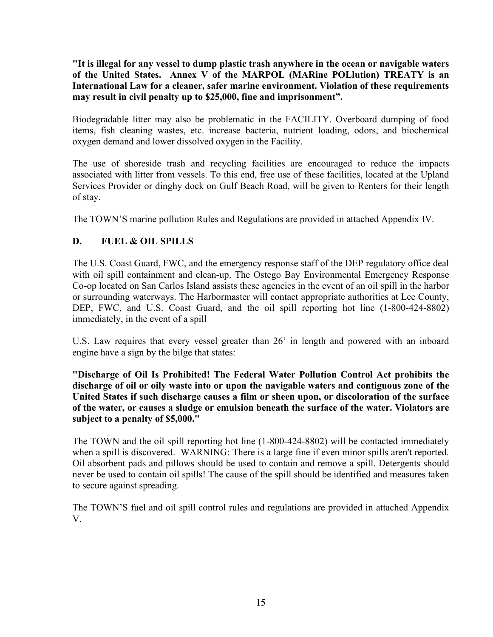**"It is illegal for any vessel to dump plastic trash anywhere in the ocean or navigable waters of the United States. Annex V of the MARPOL (MARine POLlution) TREATY is an International Law for a cleaner, safer marine environment. Violation of these requirements may result in civil penalty up to \$25,000, fine and imprisonment".** 

Biodegradable litter may also be problematic in the FACILITY. Overboard dumping of food items, fish cleaning wastes, etc. increase bacteria, nutrient loading, odors, and biochemical oxygen demand and lower dissolved oxygen in the Facility.

The use of shoreside trash and recycling facilities are encouraged to reduce the impacts associated with litter from vessels. To this end, free use of these facilities, located at the Upland Services Provider or dinghy dock on Gulf Beach Road, will be given to Renters for their length of stay.

The TOWN'S marine pollution Rules and Regulations are provided in attached Appendix IV.

# **D. FUEL & OIL SPILLS**

The U.S. Coast Guard, FWC, and the emergency response staff of the DEP regulatory office deal with oil spill containment and clean-up. The Ostego Bay Environmental Emergency Response Co-op located on San Carlos Island assists these agencies in the event of an oil spill in the harbor or surrounding waterways. The Harbormaster will contact appropriate authorities at Lee County, DEP, FWC, and U.S. Coast Guard, and the oil spill reporting hot line (1-800-424-8802) immediately, in the event of a spill

U.S. Law requires that every vessel greater than 26' in length and powered with an inboard engine have a sign by the bilge that states:

**"Discharge of Oil Is Prohibited! The Federal Water Pollution Control Act prohibits the discharge of oil or oily waste into or upon the navigable waters and contiguous zone of the United States if such discharge causes a film or sheen upon, or discoloration of the surface of the water, or causes a sludge or emulsion beneath the surface of the water. Violators are subject to a penalty of \$5,000."** 

The TOWN and the oil spill reporting hot line (1-800-424-8802) will be contacted immediately when a spill is discovered. WARNING: There is a large fine if even minor spills aren't reported. Oil absorbent pads and pillows should be used to contain and remove a spill. Detergents should never be used to contain oil spills! The cause of the spill should be identified and measures taken to secure against spreading.

The TOWN'S fuel and oil spill control rules and regulations are provided in attached Appendix V.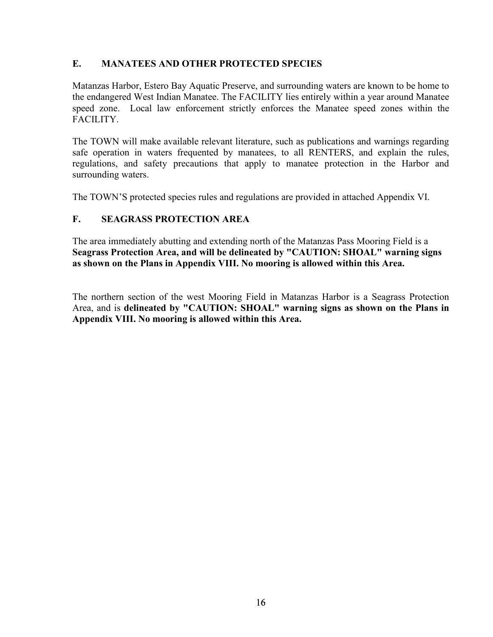# **E. MANATEES AND OTHER PROTECTED SPECIES**

Matanzas Harbor, Estero Bay Aquatic Preserve, and surrounding waters are known to be home to the endangered West Indian Manatee. The FACILITY lies entirely within a year around Manatee speed zone. Local law enforcement strictly enforces the Manatee speed zones within the FACILITY.

The TOWN will make available relevant literature, such as publications and warnings regarding safe operation in waters frequented by manatees, to all RENTERS, and explain the rules, regulations, and safety precautions that apply to manatee protection in the Harbor and surrounding waters.

The TOWN'S protected species rules and regulations are provided in attached Appendix VI.

# **F. SEAGRASS PROTECTION AREA**

The area immediately abutting and extending north of the Matanzas Pass Mooring Field is a **Seagrass Protection Area, and will be delineated by "CAUTION: SHOAL" warning signs as shown on the Plans in Appendix VIII. No mooring is allowed within this Area.**

The northern section of the west Mooring Field in Matanzas Harbor is a Seagrass Protection Area, and is **delineated by "CAUTION: SHOAL" warning signs as shown on the Plans in Appendix VIII. No mooring is allowed within this Area.**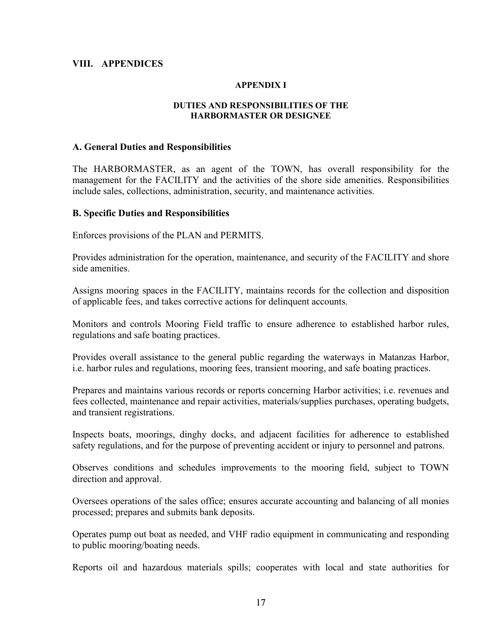#### **VIII. APPENDICES**

#### **APPENDIX I**

#### **DUTIES AND RESPONSIBILITIES OF THE HARBORMASTER OR DESIGNEE**

#### **A. General Duties and Responsibilities**

The HARBORMASTER, as an agent of the TOWN, has overall responsibility for the management for the FACILITY and the activities of the shore side amenities. Responsibilities include sales, collections, administration, security, and maintenance activities.

#### **B. Specific Duties and Responsibilities**

Enforces provisions of the PLAN and PERMITS.

Provides administration for the operation, maintenance, and security of the FACILITY and shore side amenities.

Assigns mooring spaces in the FACILITY, maintains records for the collection and disposition of applicable fees, and takes corrective actions for delinquent accounts.

Monitors and controls Mooring Field traffic to ensure adherence to established harbor rules, regulations and safe boating practices.

Provides overall assistance to the general public regarding the waterways in Matanzas Harbor, i.e. harbor rules and regulations, mooring fees, transient mooring, and safe boating practices.

Prepares and maintains various records or reports concerning Harbor activities; i.e. revenues and fees collected, maintenance and repair activities, materials/supplies purchases, operating budgets, and transient registrations.

Inspects boats, moorings, dinghy docks, and adjacent facilities for adherence to established safety regulations, and for the purpose of preventing accident or injury to personnel and patrons.

Observes conditions and schedules improvements to the mooring field, subject to TOWN direction and approval.

Oversees operations of the sales office; ensures accurate accounting and balancing of all monies processed; prepares and submits bank deposits.

Operates pump out boat as needed, and VHF radio equipment in communicating and responding to public mooring/boating needs.

Reports oil and hazardous materials spills; cooperates with local and state authorities for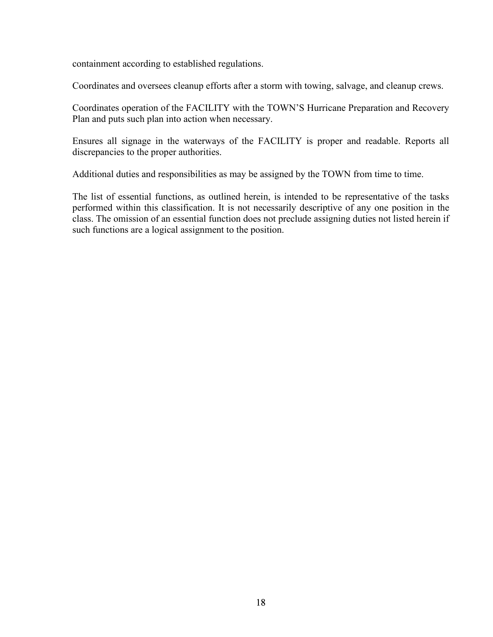containment according to established regulations.

Coordinates and oversees cleanup efforts after a storm with towing, salvage, and cleanup crews.

Coordinates operation of the FACILITY with the TOWN'S Hurricane Preparation and Recovery Plan and puts such plan into action when necessary.

Ensures all signage in the waterways of the FACILITY is proper and readable. Reports all discrepancies to the proper authorities.

Additional duties and responsibilities as may be assigned by the TOWN from time to time.

The list of essential functions, as outlined herein, is intended to be representative of the tasks performed within this classification. It is not necessarily descriptive of any one position in the class. The omission of an essential function does not preclude assigning duties not listed herein if such functions are a logical assignment to the position.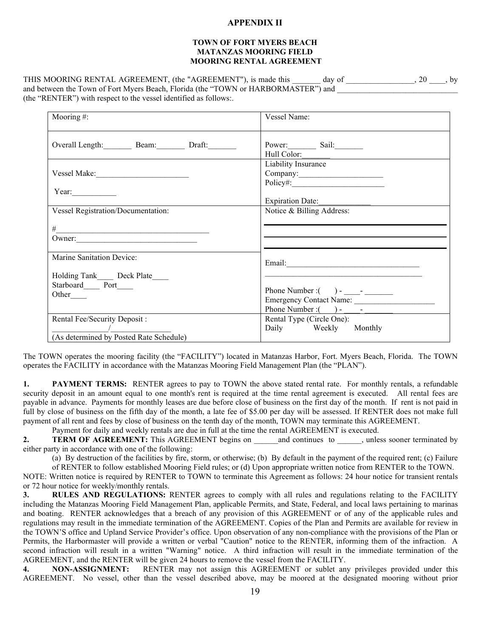#### **APPENDIX II**

#### **TOWN OF FORT MYERS BEACH MATANZAS MOORING FIELD MOORING RENTAL AGREEMENT**

THIS MOORING RENTAL AGREEMENT, (the "AGREEMENT"), is made this day of \_\_\_\_\_\_\_\_\_\_\_\_\_\_\_\_\_\_\_\_\_\_\_, by and between the Town of Fort Myers Beach, Florida (the "TOWN or HARBORMASTER") and \_\_\_\_\_\_\_\_\_\_\_\_\_\_\_\_\_\_\_\_\_\_\_\_\_\_\_ (the "RENTER") with respect to the vessel identified as follows:.

| Mooring#:                                 | Vessel Name:                                                                                                                                                                                                                         |
|-------------------------------------------|--------------------------------------------------------------------------------------------------------------------------------------------------------------------------------------------------------------------------------------|
|                                           |                                                                                                                                                                                                                                      |
| Overall Length: Beam: Draft:              | Power: Sail:                                                                                                                                                                                                                         |
|                                           | Hull Color:                                                                                                                                                                                                                          |
|                                           | Liability Insurance                                                                                                                                                                                                                  |
|                                           | Company:                                                                                                                                                                                                                             |
|                                           |                                                                                                                                                                                                                                      |
| Year:                                     |                                                                                                                                                                                                                                      |
|                                           | Expiration Date:                                                                                                                                                                                                                     |
| <b>Vessel Registration/Documentation:</b> | Notice & Billing Address:                                                                                                                                                                                                            |
|                                           |                                                                                                                                                                                                                                      |
| #                                         |                                                                                                                                                                                                                                      |
| $0$ wner:                                 |                                                                                                                                                                                                                                      |
|                                           |                                                                                                                                                                                                                                      |
| Marine Sanitation Device:                 |                                                                                                                                                                                                                                      |
|                                           | Email: <u>Constantino and Constantino and Constantino and Constantino and Constantino and Constantino and Constantino and Constantino and Constantino and Constantino and Constantino and Constantino and Constantino and Consta</u> |
| Holding Tank_____ Deck Plate____          |                                                                                                                                                                                                                                      |
| Starboard______ Port_____                 |                                                                                                                                                                                                                                      |
| Other                                     | Phone Number : $( )  ) -$                                                                                                                                                                                                            |
|                                           | Emergency Contact Name:                                                                                                                                                                                                              |
|                                           |                                                                                                                                                                                                                                      |
| Rental Fee/Security Deposit :             | Rental Type (Circle One):                                                                                                                                                                                                            |
| $\overline{\phantom{a}}$                  | Daily Weekly Monthly                                                                                                                                                                                                                 |
| (As determined by Posted Rate Schedule)   |                                                                                                                                                                                                                                      |

The TOWN operates the mooring facility (the "FACILITY") located in Matanzas Harbor, Fort. Myers Beach, Florida. The TOWN operates the FACILITY in accordance with the Matanzas Mooring Field Management Plan (the "PLAN").

**1. PAYMENT TERMS:** RENTER agrees to pay to TOWN the above stated rental rate. For monthly rentals, a refundable security deposit in an amount equal to one month's rent is required at the time rental agreement is executed. All rental fees are payable in advance. Payments for monthly leases are due before close of business on the first day of the month. If rent is not paid in full by close of business on the fifth day of the month, a late fee of \$5.00 per day will be assessed. If RENTER does not make full payment of all rent and fees by close of business on the tenth day of the month, TOWN may terminate this AGREEMENT.

Payment for daily and weekly rentals are due in full at the time the rental AGREEMENT is executed.

**2. TERM OF AGREEMENT:** This AGREEMENT begins on and continues to , unless sooner terminated by either party in accordance with one of the following:

(a) By destruction of the facilities by fire, storm, or otherwise; (b) By default in the payment of the required rent; (c) Failure

of RENTER to follow established Mooring Field rules; or (d) Upon appropriate written notice from RENTER to the TOWN. NOTE: Written notice is required by RENTER to TOWN to terminate this Agreement as follows: 24 hour notice for transient rentals or 72 hour notice for weekly/monthly rentals.

**3. RULES AND REGULATIONS:** RENTER agrees to comply with all rules and regulations relating to the FACILITY including the Matanzas Mooring Field Management Plan, applicable Permits, and State, Federal, and local laws pertaining to marinas and boating. RENTER acknowledges that a breach of any provision of this AGREEMENT or of any of the applicable rules and regulations may result in the immediate termination of the AGREEMENT. Copies of the Plan and Permits are available for review in the TOWN'S office and Upland Service Provider's office. Upon observation of any non-compliance with the provisions of the Plan or Permits, the Harbormaster will provide a written or verbal "Caution" notice to the RENTER, informing them of the infraction. A second infraction will result in a written "Warning" notice. A third infraction will result in the immediate termination of the AGREEMENT, and the RENTER will be given 24 hours to remove the vessel from the FACILITY.

**4. NON-ASSIGNMENT:** RENTER may not assign this AGREEMENT or sublet any privileges provided under this AGREEMENT. No vessel, other than the vessel described above, may be moored at the designated mooring without prior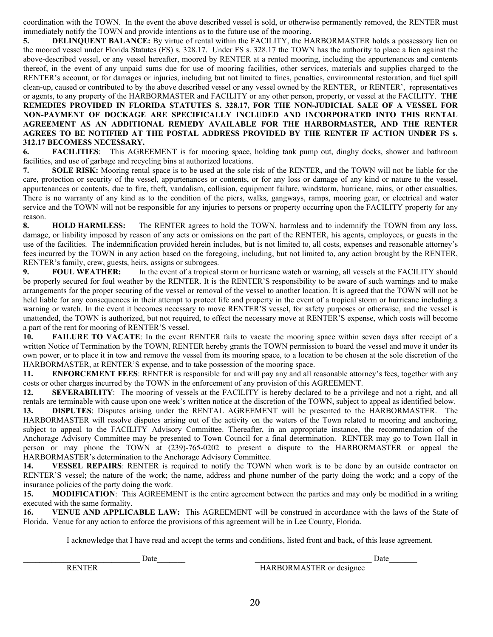coordination with the TOWN. In the event the above described vessel is sold, or otherwise permanently removed, the RENTER must immediately notify the TOWN and provide intentions as to the future use of the mooring.

**5. DELINQUENT BALANCE:** By virtue of rental within the FACILITY, the HARBORMASTER holds a possessory lien on the moored vessel under Florida Statutes (FS) s. 328.17. Under FS s. 328.17 the TOWN has the authority to place a lien against the above-described vessel, or any vessel hereafter, moored by RENTER at a rented mooring, including the appurtenances and contents thereof, in the event of any unpaid sums due for use of mooring facilities, other services, materials and supplies charged to the RENTER's account, or for damages or injuries, including but not limited to fines, penalties, environmental restoration, and fuel spill clean-up, caused or contributed to by the above described vessel or any vessel owned by the RENTER, or RENTER', representatives or agents, to any property of the HARBORMASTER and FACILITY or any other person, property, or vessel at the FACILITY. **THE REMEDIES PROVIDED IN FLORIDA STATUTES S. 328.17, FOR THE NON-JUDICIAL SALE OF A VESSEL FOR NON-PAYMENT OF DOCKAGE ARE SPECIFICALLY INCLUDED AND INCORPORATED INTO THIS RENTAL AGREEMENT AS AN ADDITIONAL REMEDY AVAILABLE FOR THE HARBORMASTER, AND THE RENTER AGREES TO BE NOTIFIED AT THE POSTAL ADDRESS PROVIDED BY THE RENTER IF ACTION UNDER FS s. 312.17 BECOMESS NECESSARY.**

**6. FACILITIES**: This AGREEMENT is for mooring space, holding tank pump out, dinghy docks, shower and bathroom facilities, and use of garbage and recycling bins at authorized locations.

**7. SOLE RISK:** Mooring rental space is to be used at the sole risk of the RENTER, and the TOWN will not be liable for the care, protection or security of the vessel, appurtenances or contents, or for any loss or damage of any kind or nature to the vessel, appurtenances or contents, due to fire, theft, vandalism, collision, equipment failure, windstorm, hurricane, rains, or other casualties. There is no warranty of any kind as to the condition of the piers, walks, gangways, ramps, mooring gear, or electrical and water service and the TOWN will not be responsible for any injuries to persons or property occurring upon the FACILITY property for any reason.

**8. HOLD HARMLESS:** The RENTER agrees to hold the TOWN, harmless and to indemnify the TOWN from any loss, damage, or liability imposed by reason of any acts or omissions on the part of the RENTER, his agents, employees, or guests in the use of the facilities. The indemnification provided herein includes, but is not limited to, all costs, expenses and reasonable attorney's fees incurred by the TOWN in any action based on the foregoing, including, but not limited to, any action brought by the RENTER, RENTER's family, crew, guests, heirs, assigns or subrogees.

**9. FOUL WEATHER:** In the event of a tropical storm or hurricane watch or warning, all vessels at the FACILITY should be properly secured for foul weather by the RENTER. It is the RENTER'S responsibility to be aware of such warnings and to make arrangements for the proper securing of the vessel or removal of the vessel to another location. It is agreed that the TOWN will not be held liable for any consequences in their attempt to protect life and property in the event of a tropical storm or hurricane including a warning or watch. In the event it becomes necessary to move RENTER'S vessel, for safety purposes or otherwise, and the vessel is unattended, the TOWN is authorized, but not required, to effect the necessary move at RENTER'S expense, which costs will become a part of the rent for mooring of RENTER'S vessel.

**10. FAILURE TO VACATE**: In the event RENTER fails to vacate the mooring space within seven days after receipt of a written Notice of Termination by the TOWN, RENTER hereby grants the TOWN permission to board the vessel and move it under its own power, or to place it in tow and remove the vessel from its mooring space, to a location to be chosen at the sole discretion of the HARBORMASTER, at RENTER'S expense, and to take possession of the mooring space.

**11. ENFORCEMENT FEES**: RENTER is responsible for and will pay any and all reasonable attorney's fees, together with any costs or other charges incurred by the TOWN in the enforcement of any provision of this AGREEMENT.

**12. SEVERABILITY**: The mooring of vessels at the FACILITY is hereby declared to be a privilege and not a right, and all rentals are terminable with cause upon one week's written notice at the discretion of the TOWN, subject to appeal as identified below.

**13. DISPUTES**: Disputes arising under the RENTAL AGREEMENT will be presented to the HARBORMASTER. The HARBORMASTER will resolve disputes arising out of the activity on the waters of the Town related to mooring and anchoring, subject to appeal to the FACILITY Advisory Committee. Thereafter, in an appropriate instance, the recommendation of the Anchorage Advisory Committee may be presented to Town Council for a final determination. RENTER may go to Town Hall in person or may phone the TOWN at (239)-765-0202 to present a dispute to the HARBORMASTER or appeal the HARBORMASTER's determination to the Anchorage Advisory Committee.

**14. VESSEL REPAIRS**: RENTER is required to notify the TOWN when work is to be done by an outside contractor on RENTER'S vessel; the nature of the work; the name, address and phone number of the party doing the work; and a copy of the insurance policies of the party doing the work.

**15. MODIFICATION**: This AGREEMENT is the entire agreement between the parties and may only be modified in a writing executed with the same formality.

**16. VENUE AND APPLICABLE LAW:** This AGREEMENT will be construed in accordance with the laws of the State of Florida. Venue for any action to enforce the provisions of this agreement will be in Lee County, Florida.

I acknowledge that I have read and accept the terms and conditions, listed front and back, of this lease agreement.

RENTER **EXECUTE:** HARBORMASTER or designee

\_\_\_\_\_\_\_\_\_\_\_\_\_\_\_\_\_\_\_\_\_\_\_\_\_\_\_\_\_ Date\_\_\_\_\_\_\_ \_\_\_\_\_\_\_\_\_\_\_\_\_\_\_\_\_\_\_\_\_\_\_\_\_\_\_\_\_ Date\_\_\_\_\_\_\_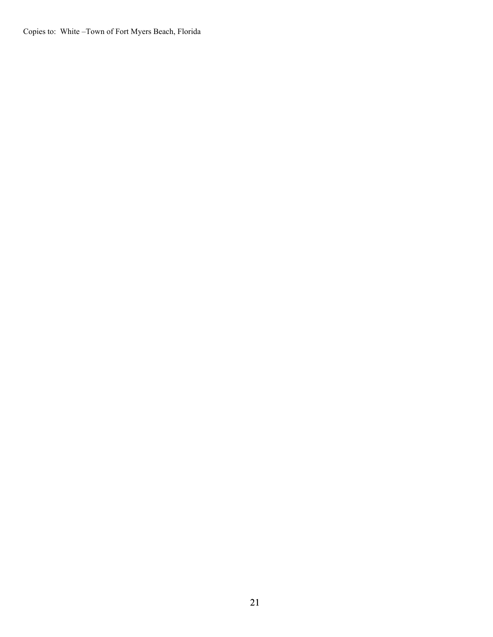Copies to: White –Town of Fort Myers Beach, Florida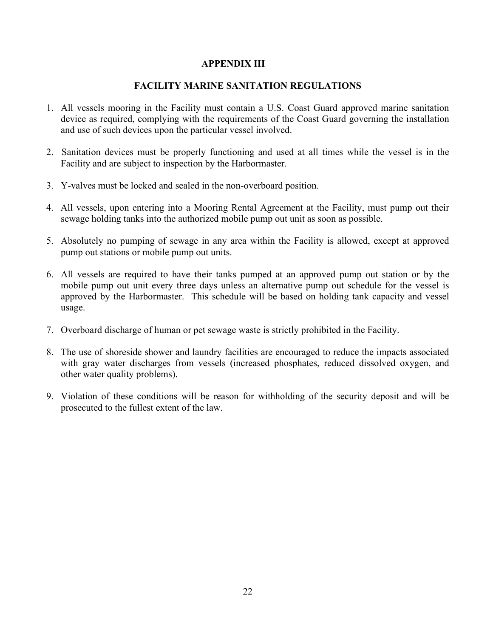#### **APPENDIX III**

#### **FACILITY MARINE SANITATION REGULATIONS**

- 1. All vessels mooring in the Facility must contain a U.S. Coast Guard approved marine sanitation device as required, complying with the requirements of the Coast Guard governing the installation and use of such devices upon the particular vessel involved.
- 2. Sanitation devices must be properly functioning and used at all times while the vessel is in the Facility and are subject to inspection by the Harbormaster.
- 3. Y-valves must be locked and sealed in the non-overboard position.
- 4. All vessels, upon entering into a Mooring Rental Agreement at the Facility, must pump out their sewage holding tanks into the authorized mobile pump out unit as soon as possible.
- 5. Absolutely no pumping of sewage in any area within the Facility is allowed, except at approved pump out stations or mobile pump out units.
- 6. All vessels are required to have their tanks pumped at an approved pump out station or by the mobile pump out unit every three days unless an alternative pump out schedule for the vessel is approved by the Harbormaster. This schedule will be based on holding tank capacity and vessel usage.
- 7. Overboard discharge of human or pet sewage waste is strictly prohibited in the Facility.
- 8. The use of shoreside shower and laundry facilities are encouraged to reduce the impacts associated with gray water discharges from vessels (increased phosphates, reduced dissolved oxygen, and other water quality problems).
- 9. Violation of these conditions will be reason for withholding of the security deposit and will be prosecuted to the fullest extent of the law.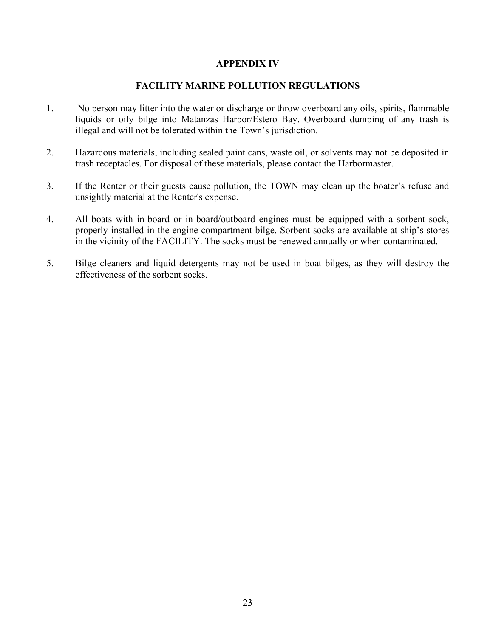#### **APPENDIX IV**

#### **FACILITY MARINE POLLUTION REGULATIONS**

- 1. No person may litter into the water or discharge or throw overboard any oils, spirits, flammable liquids or oily bilge into Matanzas Harbor/Estero Bay. Overboard dumping of any trash is illegal and will not be tolerated within the Town's jurisdiction.
- 2. Hazardous materials, including sealed paint cans, waste oil, or solvents may not be deposited in trash receptacles. For disposal of these materials, please contact the Harbormaster.
- 3. If the Renter or their guests cause pollution, the TOWN may clean up the boater's refuse and unsightly material at the Renter's expense.
- 4. All boats with in-board or in-board/outboard engines must be equipped with a sorbent sock, properly installed in the engine compartment bilge. Sorbent socks are available at ship's stores in the vicinity of the FACILITY. The socks must be renewed annually or when contaminated.
- 5. Bilge cleaners and liquid detergents may not be used in boat bilges, as they will destroy the effectiveness of the sorbent socks.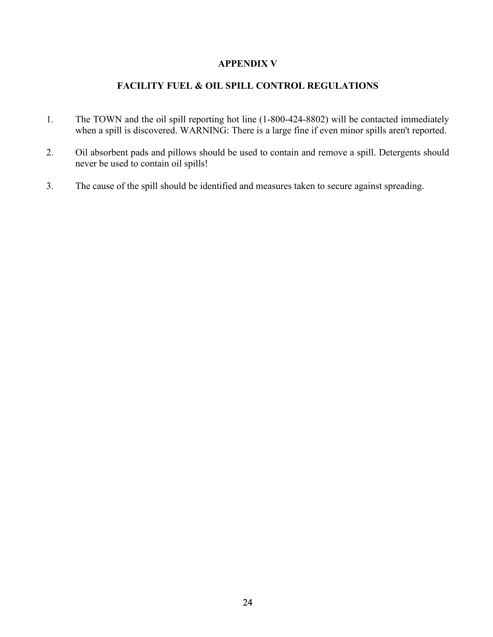#### **APPENDIX V**

## **FACILITY FUEL & OIL SPILL CONTROL REGULATIONS**

- 1. The TOWN and the oil spill reporting hot line (1-800-424-8802) will be contacted immediately when a spill is discovered. WARNING: There is a large fine if even minor spills aren't reported.
- 2. Oil absorbent pads and pillows should be used to contain and remove a spill. Detergents should never be used to contain oil spills!
- 3. The cause of the spill should be identified and measures taken to secure against spreading.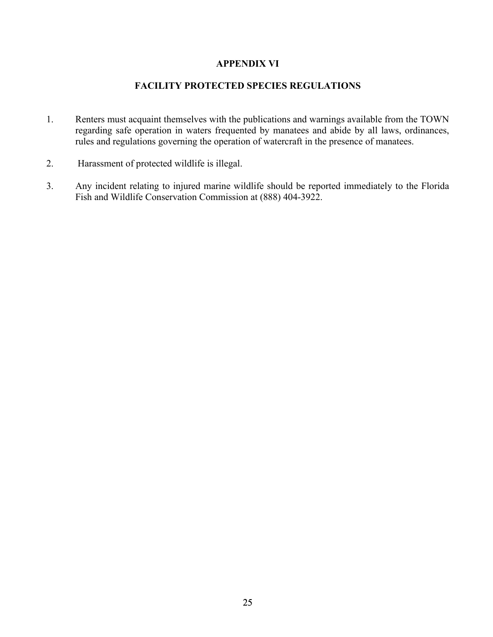#### **APPENDIX VI**

#### **FACILITY PROTECTED SPECIES REGULATIONS**

- 1. Renters must acquaint themselves with the publications and warnings available from the TOWN regarding safe operation in waters frequented by manatees and abide by all laws, ordinances, rules and regulations governing the operation of watercraft in the presence of manatees.
- 2. Harassment of protected wildlife is illegal.
- 3. Any incident relating to injured marine wildlife should be reported immediately to the Florida Fish and Wildlife Conservation Commission at (888) 404-3922.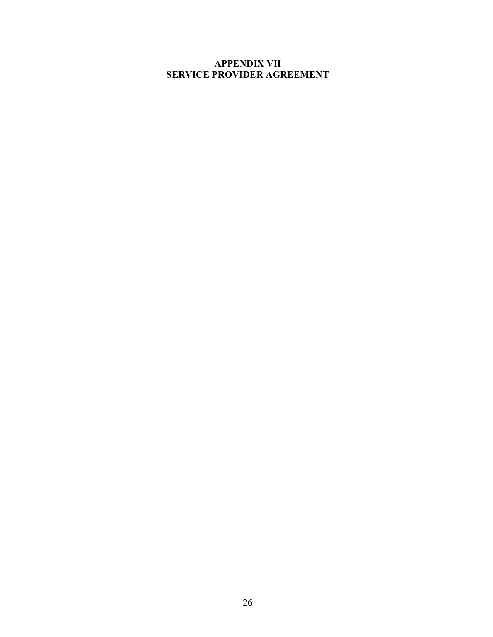# **APPENDIX VII SERVICE PROVIDER AGREEMENT**